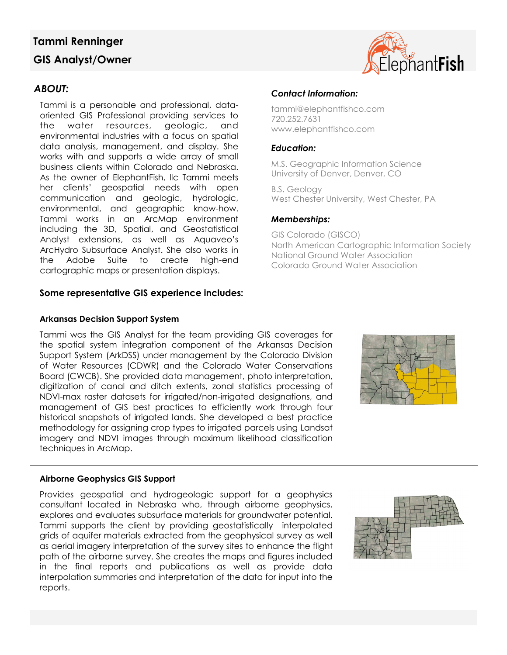# **Tammi Renninger GIS Analyst/Owner**

# *ABOUT:*

Tammi is a personable and professional, dataoriented GIS Professional providing services to the water resources, geologic, and environmental industries with a focus on spatial data analysis, management, and display. She works with and supports a wide array of small business clients within Colorado and Nebraska. As the owner of ElephantFish, llc Tammi meets her clients' geospatial needs with open communication and geologic, hydrologic, environmental, and geographic know-how. Tammi works in an ArcMap environment including the 3D, Spatial, and Geostatistical Analyst extensions, as well as Aquaveo's ArcHydro Subsurface Analyst. She also works in the Adobe Suite to create high-end cartographic maps or presentation displays.

### **Some representative GIS experience includes:**

### **Arkansas Decision Support System**

Tammi was the GIS Analyst for the team providing GIS coverages for the spatial system integration component of the Arkansas Decision Support System (ArkDSS) under management by the Colorado Division of Water Resources (CDWR) and the Colorado Water Conservations Board (CWCB). She provided data management, photo interpretation, digitization of canal and ditch extents, zonal statistics processing of NDVI-max raster datasets for irrigated/non-irrigated designations, and management of GIS best practices to efficiently work through four historical snapshots of irrigated lands. She developed a best practice methodology for assigning crop types to irrigated parcels using Landsat imagery and NDVI images through maximum likelihood classification techniques in ArcMap.

#### **Airborne Geophysics GIS Support**

Provides geospatial and hydrogeologic support for a geophysics consultant located in Nebraska who, through airborne geophysics, explores and evaluates subsurface materials for groundwater potential. Tammi supports the client by providing geostatistically interpolated grids of aquifer materials extracted from the geophysical survey as well as aerial imagery interpretation of the survey sites to enhance the flight path of the airborne survey. She creates the maps and figures included in the final reports and publications as well as provide data interpolation summaries and interpretation of the data for input into the reports.

# *Contact Information:*

tammi@elephantfishco.com 720.252.7631 www.elephantfishco.com

## *Education:*

M.S. Geographic Information Science University of Denver, Denver, CO

B.S. Geology West Chester University, West Chester, PA

### *Memberships:*

GIS Colorado (GISCO) North American Cartographic Information Society National Ground Water Association Colorado Ground Water Association





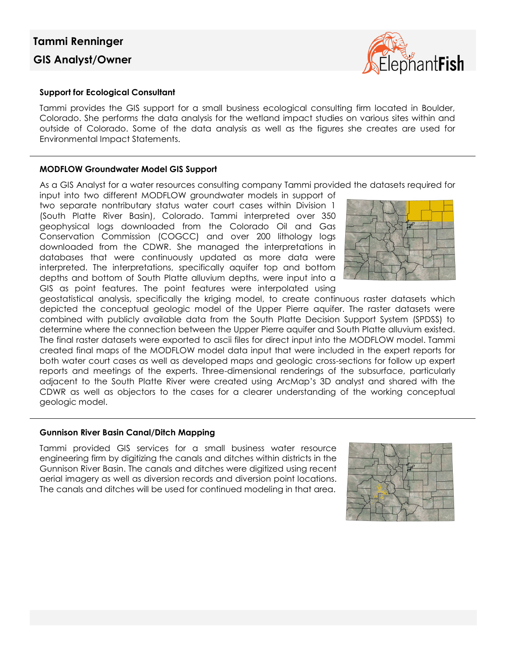# **Tammi Renninger GIS Analyst/Owner**



#### **Support for Ecological Consultant**

Tammi provides the GIS support for a small business ecological consulting firm located in Boulder, Colorado. She performs the data analysis for the wetland impact studies on various sites within and outside of Colorado. Some of the data analysis as well as the figures she creates are used for Environmental Impact Statements.

#### **MODFLOW Groundwater Model GIS Support**

As a GIS Analyst for a water resources consulting company Tammi provided the datasets required for

input into two different MODFLOW groundwater models in support of two separate nontributary status water court cases within Division 1 (South Platte River Basin), Colorado. Tammi interpreted over 350 geophysical logs downloaded from the Colorado Oil and Gas Conservation Commission (COGCC) and over 200 lithology logs downloaded from the CDWR. She managed the interpretations in databases that were continuously updated as more data were interpreted. The interpretations, specifically aquifer top and bottom depths and bottom of South Platte alluvium depths, were input into a GIS as point features. The point features were interpolated using



geostatistical analysis, specifically the kriging model, to create continuous raster datasets which depicted the conceptual geologic model of the Upper Pierre aquifer. The raster datasets were combined with publicly available data from the South Platte Decision Support System (SPDSS) to determine where the connection between the Upper Pierre aquifer and South Platte alluvium existed. The final raster datasets were exported to ascii files for direct input into the MODFLOW model. Tammi created final maps of the MODFLOW model data input that were included in the expert reports for both water court cases as well as developed maps and geologic cross-sections for follow up expert reports and meetings of the experts. Three-dimensional renderings of the subsurface, particularly adjacent to the South Platte River were created using ArcMap's 3D analyst and shared with the CDWR as well as objectors to the cases for a clearer understanding of the working conceptual geologic model.

#### **Gunnison River Basin Canal/Ditch Mapping**

Tammi provided GIS services for a small business water resource engineering firm by digitizing the canals and ditches within districts in the Gunnison River Basin. The canals and ditches were digitized using recent aerial imagery as well as diversion records and diversion point locations. The canals and ditches will be used for continued modeling in that area.

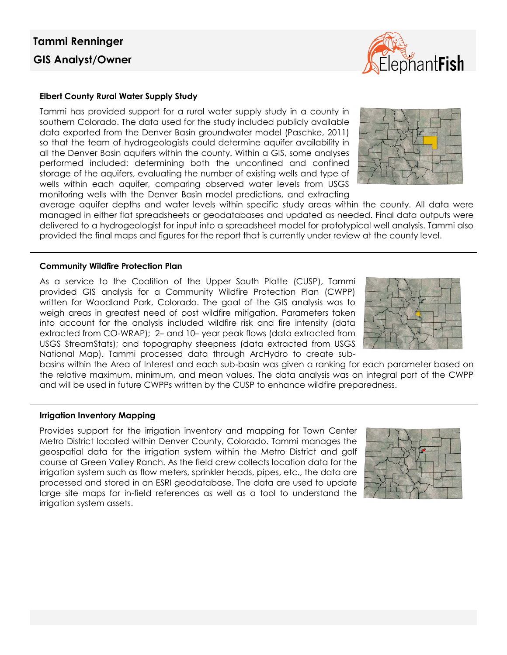#### **Elbert County Rural Water Supply Study**

Tammi has provided support for a rural water supply study in a county in southern Colorado. The data used for the study included publicly available data exported from the Denver Basin groundwater model (Paschke, 2011) so that the team of hydrogeologists could determine aquifer availability in all the Denver Basin aquifers within the county. Within a GIS, some analyses performed included: determining both the unconfined and confined storage of the aquifers, evaluating the number of existing wells and type of wells within each aquifer, comparing observed water levels from USGS monitoring wells with the Denver Basin model predictions, and extracting

average aquifer depths and water levels within specific study areas within the county. All data were managed in either flat spreadsheets or geodatabases and updated as needed. Final data outputs were delivered to a hydrogeologist for input into a spreadsheet model for prototypical well analysis. Tammi also provided the final maps and figures for the report that is currently under review at the county level.

#### **Community Wildfire Protection Plan**

As a service to the Coalition of the Upper South Platte (CUSP), Tammi provided GIS analysis for a Community Wildfire Protection Plan (CWPP) written for Woodland Park, Colorado. The goal of the GIS analysis was to weigh areas in greatest need of post wildfire mitigation. Parameters taken into account for the analysis included wildfire risk and fire intensity (data extracted from CO-WRAP); 2– and 10– year peak flows (data extracted from USGS StreamStats); and topography steepness (data extracted from USGS National Map). Tammi processed data through ArcHydro to create sub-

basins within the Area of Interest and each sub-basin was given a ranking for each parameter based on the relative maximum, minimum, and mean values. The data analysis was an integral part of the CWPP and will be used in future CWPPs written by the CUSP to enhance wildfire preparedness.

#### **Irrigation Inventory Mapping**

Provides support for the irrigation inventory and mapping for Town Center Metro District located within Denver County, Colorado. Tammi manages the geospatial data for the irrigation system within the Metro District and golf course at Green Valley Ranch. As the field crew collects location data for the irrigation system such as flow meters, sprinkler heads, pipes, etc., the data are processed and stored in an ESRI geodatabase. The data are used to update large site maps for in-field references as well as a tool to understand the irrigation system assets.







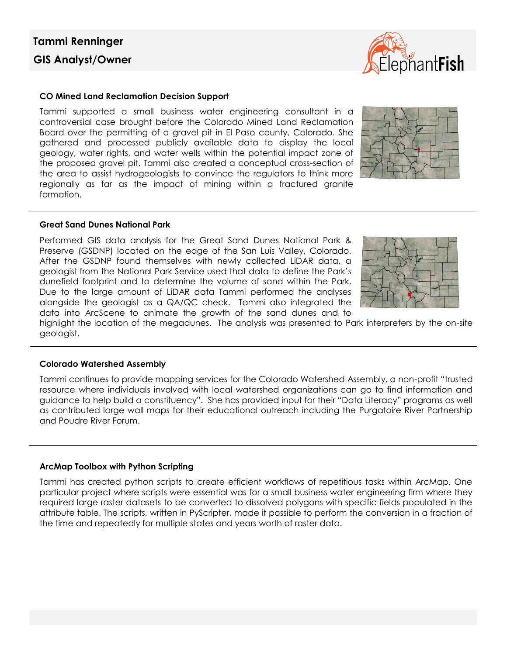

#### **CO Mined Land Reclamation Decision Support**

Tammi supported a small business water engineering consultant in a controversial case brought before the Colorado Mined Land Reclamation Board over the permitting of a gravel pit in El Paso county, Colorado. She gathered and processed publicly available data to display the local geology, water rights, and water wells within the potential impact zone of the proposed gravel pit. Tammi also created a conceptual cross-section of the area to assist hydrogeologists to convince the regulators to think more regionally as far as the impact of mining within a fractured granite formation.



#### **Great Sand Dunes National Park**

Performed GIS data analysis for the Great Sand Dunes National Park & Preserve (GSDNP) located on the edge of the San Luis Valley, Colorado. After the GSDNP found themselves with newly collected LiDAR data, a geologist from the National Park Service used that data to define the Park's dunefield footprint and to determine the volume of sand within the Park. Due to the large amount of LiDAR data Tammi performed the analyses alongside the geologist as a QA/QC check. Tammi also integrated the data into ArcScene to animate the growth of the sand dunes and to



highlight the location of the megadunes. The analysis was presented to Park interpreters by the on-site geologist.

#### **Colorado Watershed Assembly**

Tammi continues to provide mapping services for the Colorado Watershed Assembly, a non-profit "trusted resource where individuals involved with local watershed organizations can go to find information and guidance to help build a constituency". She has provided input for their "Data Literacy" programs as well as contributed large wall maps for their educational outreach including the Purgatoire River Partnership and Poudre River Forum.

#### **ArcMap Toolbox with Python Scripting**

Tammi has created python scripts to create efficient workflows of repetitious tasks within ArcMap. One particular project where scripts were essential was for a small business water engineering firm where they required large raster datasets to be converted to dissolved polygons with specific fields populated in the attribute table. The scripts, written in PyScripter, made it possible to perform the conversion in a fraction of the time and repeatedly for multiple states and years worth of raster data.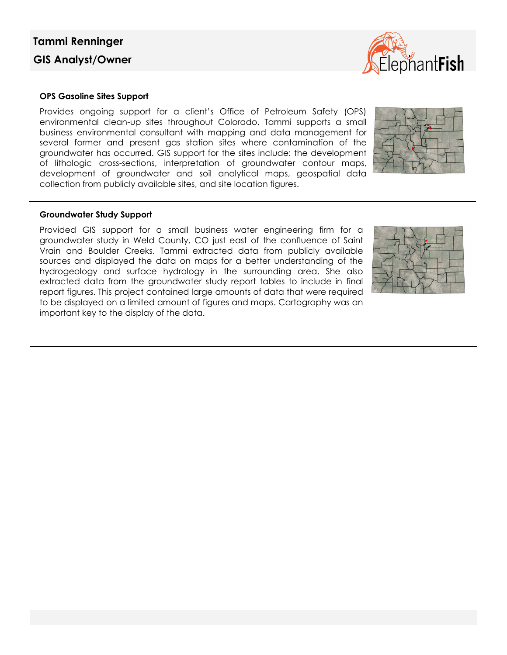# **Tammi Renninger GIS Analyst/Owner**

#### **OPS Gasoline Sites Support**

Provides ongoing support for a client's Office of Petroleum Safety (OPS) environmental clean-up sites throughout Colorado. Tammi supports a small business environmental consultant with mapping and data management for several former and present gas station sites where contamination of the groundwater has occurred. GIS support for the sites include: the development of lithologic cross-sections, interpretation of groundwater contour maps, development of groundwater and soil analytical maps, geospatial data collection from publicly available sites, and site location figures.

#### **Groundwater Study Support**

Provided GIS support for a small business water engineering firm for a groundwater study in Weld County, CO just east of the confluence of Saint Vrain and Boulder Creeks. Tammi extracted data from publicly available sources and displayed the data on maps for a better understanding of the hydrogeology and surface hydrology in the surrounding area. She also extracted data from the groundwater study report tables to include in final report figures. This project contained large amounts of data that were required to be displayed on a limited amount of figures and maps. Cartography was an important key to the display of the data.